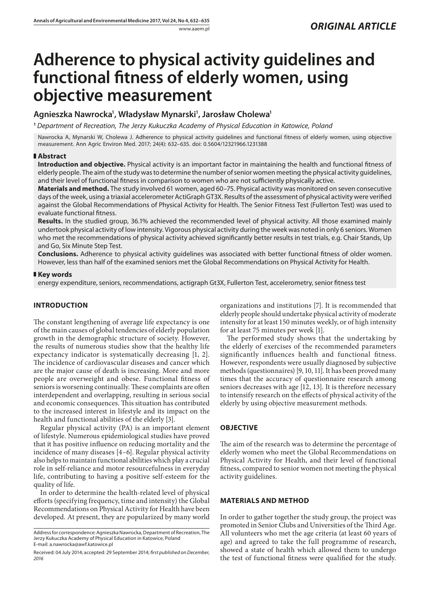# **Adherence to physical activity guidelines and functional fitness of elderly women, using objective measurement**

# **Agnieszka Nawrocka1 , Władysław Mynarski1 , Jarosław Cholewa1**

**<sup>1</sup>** *Department of Recreation, The Jerzy Kukuczka Academy of Physical Education in Katowice, Poland*

Nawrocka A, Mynarski W, Cholewa J. Adherence to physical activity guidelines and functional fitness of elderly women, using objective measurement. Ann Agric Environ Med. 2017; 24(4): 632–635. doi: 0.5604/12321966.1231388

## **Abstract**

**Introduction and objective.** Physical activity is an important factor in maintaining the health and functional fitness of elderly people. The aim of the study was to determine the number of senior women meeting the physical activity guidelines, and their level of functional fitness in comparison to women who are not sufficiently physically active.

**Materials and method.** The study involved 61 women, aged 60–75. Physical activity was monitored on seven consecutive days of the week, using a triaxial accelerometer ActiGraph GT3X. Results of the assessment of physical activity were verified against the Global Recommendations of Physical Activity for Health. The Senior Fitness Test (Fullerton Test) was used to evaluate functional fitness.

**Results.** In the studied group, 36.1% achieved the recommended level of physical activity. All those examined mainly undertook physical activity of low intensity. Vigorous physical activity during the week was noted in only 6 seniors. Women who met the recommendations of physical activity achieved significantly better results in test trials, e.g. Chair Stands, Up and Go, Six Minute Step Test.

**Conclusions.** Adherence to physical activity guidelines was associated with better functional fitness of older women. However, less than half of the examined seniors met the Global Recommendations on Physical Activity for Health.

#### **Key words**

energy expenditure, seniors, recommendations, actigraph Gt3X, Fullerton Test, accelerometry, senior fitness test

## **INTRODUCTION**

The constant lengthening of average life expectancy is one of the main causes of global tendencies of elderly population growth in the demographic structure of society. However, the results of numerous studies show that the healthy life expectancy indicator is systematically decreasing [1, 2]. The incidence of cardiovascular diseases and cancer which are the major cause of death is increasing. More and more people are overweight and obese. Functional fitness of seniors is worsening continually. These complaints are often interdependent and overlapping, resulting in serious social and economic consequences. This situation has contributed to the increased interest in lifestyle and its impact on the health and functional abilities of the elderly [3].

Regular physical activity (PA) is an important element of lifestyle. Numerous epidemiological studies have proved that it has positive influence on reducing mortality and the incidence of many diseases [4–6]. Regular physical activity also helps to maintain functional abilities which play a crucial role in self-reliance and motor resourcefulness in everyday life, contributing to having a positive self-esteem for the quality of life.

In order to determine the health-related level of physical efforts (specifying frequency, time and intensity) the Global Recommendations on Physical Activity for Health have been developed. At present, they are popularized by many world

organizations and institutions [7]. It is recommended that elderly people should undertake physical activity of moderate intensity for at least 150 minutes weekly, or of high intensity for at least 75 minutes per week [1].

The performed study shows that the undertaking by the elderly of exercises of the recommended parameters significantly influences health and functional fitness. However, respondents were usually diagnosed by subjective methods (questionnaires) [9, 10, 11]. It has been proved many times that the accuracy of questionnaire research among seniors decreases with age [12, 13]. It is therefore necessary to intensify research on the effects of physical activity of the elderly by using objective measurement methods.

# **OBJECTIVE**

The aim of the research was to determine the percentage of elderly women who meet the Global Recommendations on Physical Activity for Health, and their level of functional fitness, compared to senior women not meeting the physical activity guidelines.

# **MATERIALS AND METHOD**

In order to gather together the study group, the project was promoted in Senior Clubs and Universities of the Third Age. All volunteers who met the age criteria (at least 60 years of age) and agreed to take the full programme of research, showed a state of health which allowed them to undergo the test of functional fitness were qualified for the study.

Address for correspondence: Agnieszka Nawrocka, Department of Recreation, The Jerzy Kukuczka Academy of Physical Education in Katowice, Poland E-mail: a.nawrocka@awf.katowice.pl

Received: 04 July 2014; accepted: 29 September 2014; *first published on December, 2016*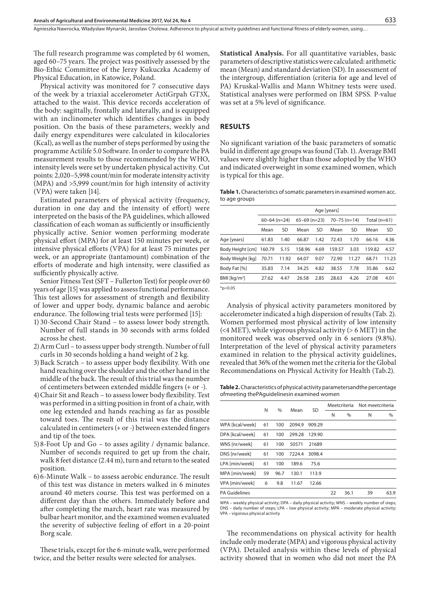The full research programme was completed by 61 women, aged 60–75 years. The project was positively assessed by the Bio-Ethic Committee of the Jerzy Kukuczka Academy of Physical Education, in Katowice, Poland.

Physical activity was monitored for 7 consecutive days of the week by a triaxial accelerometer ActiGrpah GT3X, attached to the waist. This device records acceleration of the body: sagittally, frontally and laterally, and is equipped with an inclinometer which identifies changes in body position. On the basis of these parameters, weekly and daily energy expenditures were calculated in kilocalories (Kcal), as well as the number of steps performed by using the programme Actilife 5.0 Software. In order to compare the PA measurement results to those recommended by the WHO, intensity levels were set by undertaken physical activity. Cut points: 2,020–5,998 count/min for moderate intensity activity (MPA) and >5,999 count/min for high intensity of activity (VPA) were taken [14].

Estimated parameters of physical activity (frequency, duration in one day and the intensity of effort) were interpreted on the basis of the PA guidelines, which allowed classification of each woman as sufficiently or insufficiently physically active. Senior women performing moderate physical effort (MPA) for at least 150 minutes per week, or intensive physical efforts (VPA) for at least 75 minutes per week, or an appropriate (tantamount) combination of the efforts of moderate and high intensity, were classified as sufficiently physically active.

Senior Fitness Test (SFT – Fullerton Test) for people over 60 years of age [15] was applied to assess functional performance. This test allows for assessment of strength and flexibility of lower and upper body, dynamic balance and aerobic endurance. The following trial tests were performed [15]:

- 1) 30-Second Chair Stand to assess lower body strength. Number of full stands in 30 seconds with arms folded across he chest.
- 2)Arm Curl to assess upper body strength. Number of full curls in 30 seconds holding a hand weight of 2 kg.
- 3)Back Scratch to assess upper body flexibility. With one hand reaching over the shoulder and the other hand in the middle of the back. The result of this trial was the number of centimeters between extended middle fingers (+ or -).
- 4)Chair Sit and Reach to assess lower body flexibility. Test was performed in a sitting position in front of a chair, with one leg extended and hands reaching as far as possible toward toes. The result of this trial was the distance calculated in centimeters (+ or -) between extended fingers and tip of the toes.
- 5)8-Foot Up and Go to asses agility / dynamic balance. Number of seconds required to get up from the chair, walk 8 feet distance (2.44 m), turn and return to the seated position.
- 6)6-Minute Walk to assess aerobic endurance. The result of this test was distance in meters walked in 6 minutes around 40 meters course. This test was performed on a different day than the others. Immediately before and after completing the march, heart rate was measured by bulbar heart monitor, and the examined women evaluated the severity of subjective feeling of effort in a 20-point Borg scale.

These trials, except for the 6-minute walk, were performed twice, and the better results were selected for analyses.

**Statistical Analysis.** For all quantitative variables, basic parameters of descriptive statistics were calculated: arithmetic mean (Mean) and standard deviation (SD). In assessment of the intergroup, differentiation (criteria for age and level of PA) Kruskal-Wallis and Mann Whitney tests were used. Statistical analyses were performed on IBM SPSS. P-value was set at a 5% level of significance.

#### **RESULTS**

No significant variation of the basic parameters of somatic build in different age groups was found (Tab. 1). Average BMI values were slightly higher than those adopted by the WHO and indicated overweight in some examined women, which is typical for this age.

| Table 1. Characteristics of somatic parameters in examined women acc. |  |
|-----------------------------------------------------------------------|--|
| to age groups                                                         |  |

|                         | Age [years]      |           |                  |      |                  |           |                |           |  |  |
|-------------------------|------------------|-----------|------------------|------|------------------|-----------|----------------|-----------|--|--|
|                         | $60 - 64$ (n=24) |           | $65 - 69$ (n=23) |      | $70 - 75$ (n=14) |           | Total $(n=61)$ |           |  |  |
|                         | Mean             | <b>SD</b> | Mean             | SD   | Mean             | <b>SD</b> | Mean           | <b>SD</b> |  |  |
| Age [years]             | 61.83            | 1.40      | 66.87            | 1.42 | 72.43            | 1.70      | 66.16          | 4.36      |  |  |
| Body Height [cm] 160.79 |                  | 5.15      | 158.96           | 4.69 | 159.57           | 3.03      | 159.82         | 4.57      |  |  |
| Body Weight [kg]        | 70.71            | 11.92     | 64.07            | 9.07 | 72.90            | 11.27     | 68.71          | 11.23     |  |  |
| Body Fat [%]            | 35.83            | 7.14      | 34.25            | 4.82 | 38.55            | 7.78      | 35.86          | 6.62      |  |  |
| BMI [ $kg/m2$ ]         | 27.62            | 4.47      | 26.58            | 2.85 | 28.63            | 4.26      | 27.08          | 4.01      |  |  |
| $*_{n}$ -0.05           |                  |           |                  |      |                  |           |                |           |  |  |

\*p<0.05

Analysis of physical activity parameters monitored by accelerometer indicated a high dispersion of results (Tab. 2). Women performed most physical activity of low intensity  $(*4* MET)$ , while vigorous physical activity  $(> 6$  MET) in the monitored week was observed only in 6 seniors (9.8%). Interpretation of the level of physical activity parameters examined in relation to the physical activity guidelines, revealed that 36% of the women met the criteria for the Global Recommendations on Physical Activity for Health (Tab.2).

**Table 2.** Characteristics of physical activity parametersandthe percentage ofmeeting thePAguidelinesin examined women

|                      |    |               |        | SD     | Meetcriteria |      | Not meetcriteria |      |
|----------------------|----|---------------|--------|--------|--------------|------|------------------|------|
|                      | N  | $\frac{0}{0}$ | Mean   |        | N            | $\%$ | N                | %    |
| WPA [kcal/week]      | 61 | 100           | 2094.9 | 909.29 |              |      |                  |      |
| DPA [kcal/week]      | 61 | 100           | 299.28 | 129.90 |              |      |                  |      |
| WNS [nr/week]        | 61 | 100           | 50571  | 21689  |              |      |                  |      |
| DNS [nr/week]        | 61 | 100           | 7224.4 | 3098.4 |              |      |                  |      |
| LPA [min/week]       | 61 | 100           | 189.6  | 75.6   |              |      |                  |      |
| MPA [min/week]       | 59 | 96.7          | 130.1  | 113.9  |              |      |                  |      |
| VPA [min/week]       | 6  | 9.8           | 11.67  | 12.66  |              |      |                  |      |
| <b>PA Guidelines</b> |    |               |        |        | 22           | 36.1 | 39               | 63.9 |
|                      |    |               |        |        |              |      |                  |      |

WPA – weekly physical activity; DPA – daily physical activity; WNS – weekly number of steps; DNS – daily number of steps; LPA – low physical activity; MPA – moderate physical activity; VPA – vigorous physical activity

The recommendations on physical activity for health include only moderate (MPA) and vigorous physical activity (VPA). Detailed analysis within these levels of physical activity showed that in women who did not meet the PA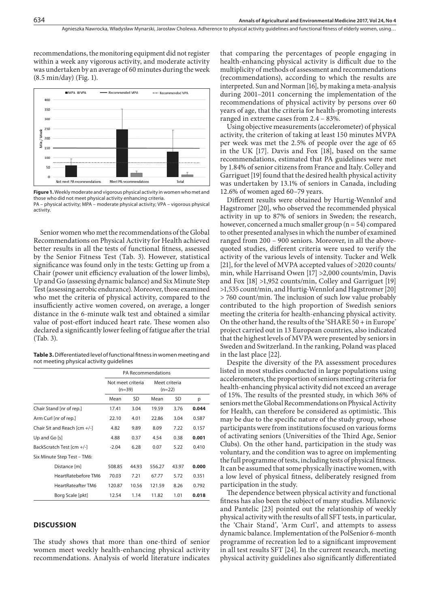recommendations, the monitoring equipment did not register within a week any vigorous activity, and moderate activity was undertaken by an average of 60 minutes during the week (8.5 min/day) (Fig. 1).



**Figure 1.** Weekly moderate and vigorous physical activity in women who met and those who did not meet physical activity enhancing criteria.

PA – physical activity; MPA – moderate physical activity; VPA – vigorous physical activity.

Senior women who met the recommendations of the Global Recommendations on Physical Activity for Health achieved better results in all the tests of functional fitness, assessed by the Senior Fitness Test (Tab. 3). However, statistical significance was found only in the tests: Getting up from a Chair (power unit efficiency evaluation of the lower limbs), Up and Go (assessing dynamic balance) and Six Minute Step Test (assessing aerobic endurance). Moreover, those examined who met the criteria of physical activity, compared to the insufficiently active women covered, on average, a longer distance in the 6-minute walk test and obtained a similar value of post-effort induced heart rate. These women also declared a significantly lower feeling of fatigue after the trial (Tab. 3).

**Table 3.** Differentiated level of functional fitness in women meeting and not meeting physical activity guidelines

|                              | <b>PA Recommendations</b>     |       |                           |       |       |  |  |  |
|------------------------------|-------------------------------|-------|---------------------------|-------|-------|--|--|--|
|                              | Not meet criteria<br>$(n=39)$ |       | Meet criteria<br>$(n=22)$ |       |       |  |  |  |
|                              | Mean                          | SD    | Mean                      | SD    | p     |  |  |  |
| Chair Stand [nr of rep.]     | 17.41                         | 3.04  | 19.59                     | 3.76  | 0.044 |  |  |  |
| Arm Curl [nr of rep.]        | 22.10                         | 4.01  | 22.86                     | 3.04  | 0.587 |  |  |  |
| Chair Sit and Reach [cm +/-] | 4.82                          | 9.89  | 8.09                      | 7.22  | 0.157 |  |  |  |
| Up and Go $[s]$              | 4.88                          | 0.37  | 4.54                      | 0.38  | 0.001 |  |  |  |
| BackScratch Test [cm +/-]    | $-2.04$                       | 6.28  | 0.07                      | 5.22  | 0.410 |  |  |  |
| Six Minute Step Test - TM6:  |                               |       |                           |       |       |  |  |  |
| Distance [m]                 | 508.85                        | 44.93 | 556.27                    | 43.97 | 0.000 |  |  |  |
| HeartRatebefore TM6          | 70.03                         | 7.21  | 67.77                     | 5.72  | 0.351 |  |  |  |
| HeartRateafter TM6           | 120.87                        | 10.56 | 121.59                    | 8.26  | 0.792 |  |  |  |
| Borg Scale [pkt]             | 12.54                         | 1.14  | 11.82                     | 1.01  | 0.018 |  |  |  |

#### **DISCUSSION**

The study shows that more than one-third of senior women meet weekly health-enhancing physical activity recommendations. Analysis of world literature indicates

that comparing the percentages of people engaging in health-enhancing physical activity is difficult due to the multiplicity of methods of assessment and recommendations (recommendations), according to which the results are interpreted. Sun and Norman [16], by making a meta-analysis during 2001–2011 concerning the implementation of the recommendations of physical activity by persons over 60 years of age, that the criteria for health-promoting interests ranged in extreme cases from 2.4 – 83%.

Using objective measurements (accelerometer) of physical activity, the criterion of taking at least 150 minutes MVPA per week was met the 2.5% of people over the age of 65 in the UK [17]. Davis and Fox [18], based on the same recommendations, estimated that PA guidelines were met by 1.84% of senior citizens from France and Italy. Colley and Garriguet [19] found that the desired health physical activity was undertaken by 13.1% of seniors in Canada, including 12.6% of women aged 60–79 years.

Different results were obtained by Hurtig-Wennlof and Hagstromer [20], who observed the recommended physical activity in up to 87% of seniors in Sweden; the research, however, concerned a much smaller group (n = 54) compared to other presented analyses in which the number of examined ranged from 200 – 900 seniors. Moreover, in all the abovequoted studies, different criteria were used to verify the activity of the various levels of intensity. Tucker and Welk [21], for the level of MVPA accepted values of >2020 counts/ min, while Harrisand Owen [17] >2,000 counts/min, Davis and Fox [18] >1,952 counts/min, Colley and Garriguet [19] >1,535 count/min, and Hurtig-Wennlof and Hagstromer [20] > 760 count/min. The inclusion of such low value probably contributed to the high proportion of Swedish seniors meeting the criteria for health-enhancing physical activity. On the other hand, the results of the 'SHARE 50 + in Europe' project carried out in 13 European countries, also indicated that the highest levels of MVPA were presented by seniors in Sweden and Switzerland. In the ranking, Poland was placed in the last place [22].

Despite the diversity of the PA assessment procedures listed in most studies conducted in large populations using accelerometers, the proportion of seniors meeting criteria for health-enhancing physical activity did not exceed an average of 15%. The results of the presnted study, in which 36% of seniors met the Global Recommendations on Physical Activity for Health, can therefore be considered as optimistic. This may be due to the specific nature of the study group, whose participants were from institutions focused on various forms of activating seniors (Universities of the Third Age, Senior Clubs). On the other hand, participation in the study was voluntary, and the condition was to agree on implementing the full programme of tests, including tests of physical fitness. It can be assumed that some physically inactive women, with a low level of physical fitness, deliberately resigned from participation in the study.

The dependence between physical activity and functional fitness has also been the subject of many studies. Milanovic and Pantelic [23] pointed out the relationship of weekly physical activity with the results of all SFT tests, in particular, the 'Chair Stand', 'Arm Curl', and attempts to assess dynamic balance. Implementation of the PolSenior 6-month programme of recreation led to a significant improvement in all test results SFT [24]. In the current research, meeting physical activity guidelines also significantly differentiated